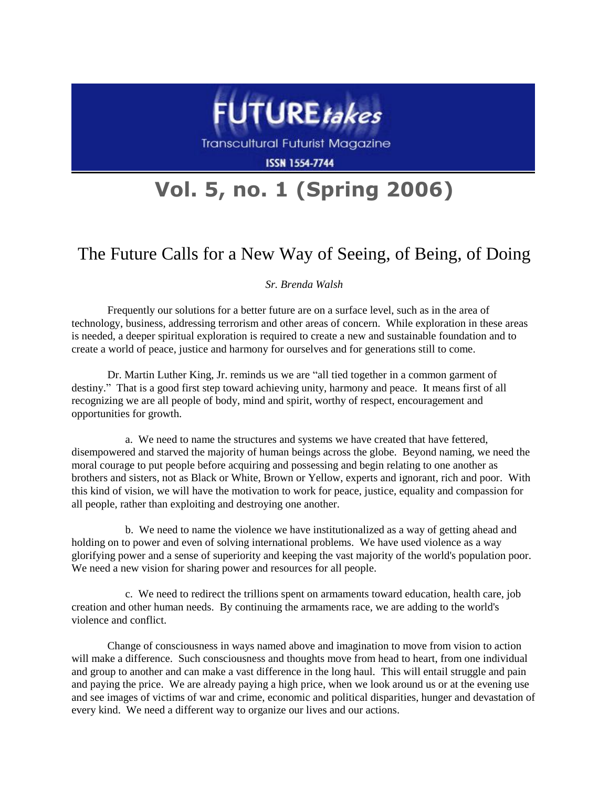

**Transcultural Futurist Magazine** 

**ISSN 1554-7744** 

## **Vol. 5, no. 1 (Spring 2006)**

## The Future Calls for a New Way of Seeing, of Being, of Doing

## *Sr. Brenda Walsh*

Frequently our solutions for a better future are on a surface level, such as in the area of technology, business, addressing terrorism and other areas of concern. While exploration in these areas is needed, a deeper spiritual exploration is required to create a new and sustainable foundation and to create a world of peace, justice and harmony for ourselves and for generations still to come.

Dr. Martin Luther King, Jr. reminds us we are "all tied together in a common garment of destiny." That is a good first step toward achieving unity, harmony and peace. It means first of all recognizing we are all people of body, mind and spirit, worthy of respect, encouragement and opportunities for growth.

a. We need to name the structures and systems we have created that have fettered, disempowered and starved the majority of human beings across the globe. Beyond naming, we need the moral courage to put people before acquiring and possessing and begin relating to one another as brothers and sisters, not as Black or White, Brown or Yellow, experts and ignorant, rich and poor. With this kind of vision, we will have the motivation to work for peace, justice, equality and compassion for all people, rather than exploiting and destroying one another.

b. We need to name the violence we have institutionalized as a way of getting ahead and holding on to power and even of solving international problems. We have used violence as a way glorifying power and a sense of superiority and keeping the vast majority of the world's population poor. We need a new vision for sharing power and resources for all people.

c. We need to redirect the trillions spent on armaments toward education, health care, job creation and other human needs. By continuing the armaments race, we are adding to the world's violence and conflict.

Change of consciousness in ways named above and imagination to move from vision to action will make a difference. Such consciousness and thoughts move from head to heart, from one individual and group to another and can make a vast difference in the long haul. This will entail struggle and pain and paying the price. We are already paying a high price, when we look around us or at the evening use and see images of victims of war and crime, economic and political disparities, hunger and devastation of every kind. We need a different way to organize our lives and our actions.